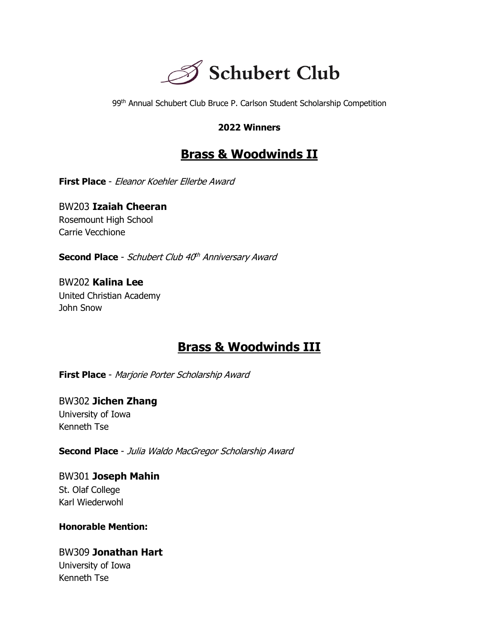

99<sup>th</sup> Annual Schubert Club Bruce P. Carlson Student Scholarship Competition

#### **2022 Winners**

## **Brass & Woodwinds II**

**First Place** - Eleanor Koehler Ellerbe Award

BW203 **Izaiah Cheeran** Rosemount High School Carrie Vecchione

**Second Place** - Schubert Club 40<sup>th</sup> Anniversary Award

BW202 **Kalina Lee** United Christian Academy John Snow

## **Brass & Woodwinds III**

**First Place** - Marjorie Porter Scholarship Award

BW302 **Jichen Zhang** University of Iowa Kenneth Tse

**Second Place** - Julia Waldo MacGregor Scholarship Award

BW301 **Joseph Mahin** St. Olaf College Karl Wiederwohl

**Honorable Mention:**

BW309 **Jonathan Hart** University of Iowa Kenneth Tse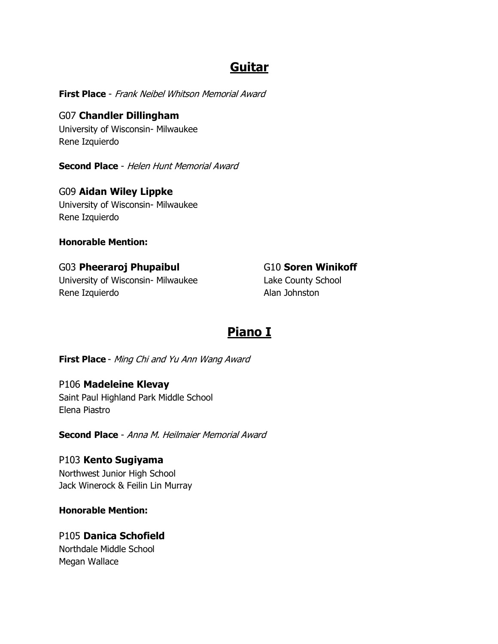## **Guitar**

**First Place** - Frank Neibel Whitson Memorial Award

G07 **Chandler Dillingham** University of Wisconsin- Milwaukee Rene Izquierdo

**Second Place** - Helen Hunt Memorial Award

G09 **Aidan Wiley Lippke** University of Wisconsin- Milwaukee Rene Izquierdo

**Honorable Mention:**

#### G03 **Pheeraroj Phupaibul**

University of Wisconsin- Milwaukee Rene Izquierdo

G10 **Soren Winikoff** Lake County School Alan Johnston

# **Piano I**

**First Place** - Ming Chi and Yu Ann Wang Award

P106 **Madeleine Klevay** Saint Paul Highland Park Middle School Elena Piastro

**Second Place** - Anna M. Heilmaier Memorial Award

P103 **Kento Sugiyama** Northwest Junior High School Jack Winerock & Feilin Lin Murray

**Honorable Mention:**

P105 **Danica Schofield** Northdale Middle School Megan Wallace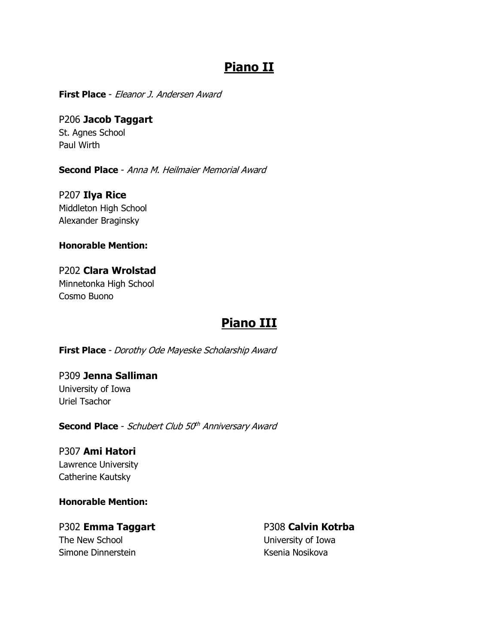## **Piano II**

**First Place** - Eleanor J. Andersen Award

P206 **Jacob Taggart** St. Agnes School Paul Wirth

**Second Place** - Anna M. Heilmaier Memorial Award

P207 **Ilya Rice** Middleton High School Alexander Braginsky

**Honorable Mention:**

P202 **Clara Wrolstad** Minnetonka High School Cosmo Buono

## **Piano III**

**First Place** - Dorothy Ode Mayeske Scholarship Award

P309 **Jenna Salliman** University of Iowa Uriel Tsachor

**Second Place** - Schubert Club 50<sup>th</sup> Anniversary Award

P307 **Ami Hatori** Lawrence University Catherine Kautsky

**Honorable Mention:**

P302 **Emma Taggart** The New School Simone Dinnerstein

P308 **Calvin Kotrba** University of Iowa Ksenia Nosikova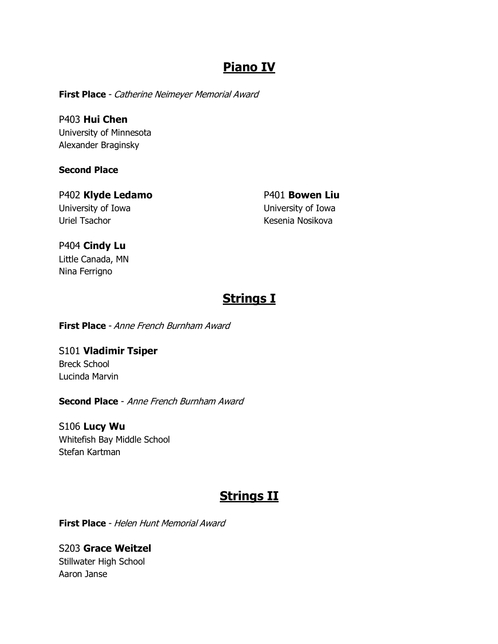## **Piano IV**

**First Place** - Catherine Neimeyer Memorial Award

P403 **Hui Chen** University of Minnesota Alexander Braginsky

**Second Place**

P402 **Klyde Ledamo** University of Iowa Uriel Tsachor

P401 **Bowen Liu** University of Iowa Kesenia Nosikova

P404 **Cindy Lu** Little Canada, MN Nina Ferrigno

# **Strings I**

**First Place** - Anne French Burnham Award

S101 **Vladimir Tsiper** Breck School Lucinda Marvin

**Second Place** - Anne French Burnham Award

S106 **Lucy Wu** Whitefish Bay Middle School Stefan Kartman

# **Strings II**

**First Place** - Helen Hunt Memorial Award

S203 **Grace Weitzel** Stillwater High School Aaron Janse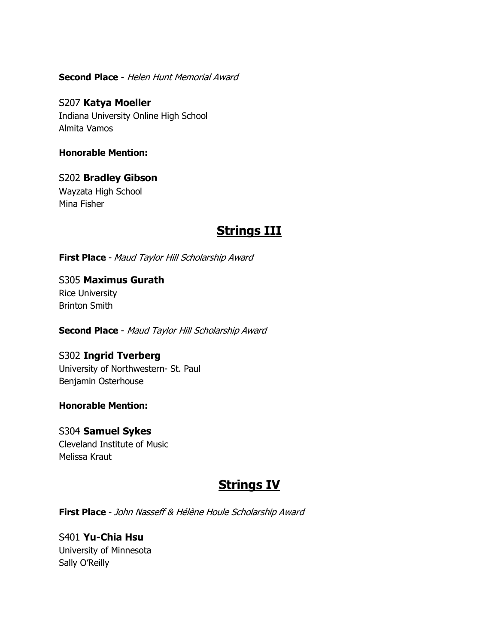**Second Place** - Helen Hunt Memorial Award

S207 **Katya Moeller** Indiana University Online High School Almita Vamos

**Honorable Mention:**

S202 **Bradley Gibson** Wayzata High School Mina Fisher

## **Strings III**

**First Place** - Maud Taylor Hill Scholarship Award

S305 **Maximus Gurath** Rice University Brinton Smith

**Second Place** - Maud Taylor Hill Scholarship Award

S302 **Ingrid Tverberg** University of Northwestern- St. Paul Benjamin Osterhouse

**Honorable Mention:**

S304 **Samuel Sykes** Cleveland Institute of Music Melissa Kraut

## **Strings IV**

**First Place** - John Nasseff & Hélène Houle Scholarship Award

S401 **Yu-Chia Hsu** University of Minnesota Sally O'Reilly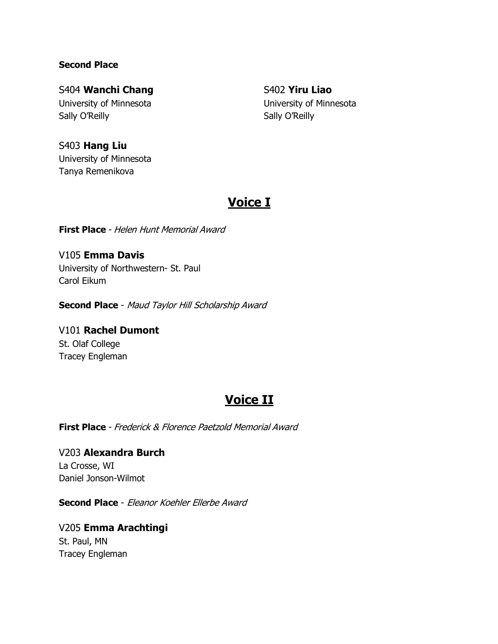#### **Second Place**

#### S404 **Wanchi Chang**

University of Minnesota Sally O'Reilly

S402 **Yiru Liao** University of Minnesota Sally O'Reilly

#### S403 **Hang Liu**

University of Minnesota Tanya Remenikova

## **Voice I**

**First Place** - Helen Hunt Memorial Award

V105 **Emma Davis** University of Northwestern- St. Paul Carol Eikum

**Second Place** - Maud Taylor Hill Scholarship Award

V101 **Rachel Dumont** St. Olaf College Tracey Engleman

## **Voice II**

**First Place** - Frederick & Florence Paetzold Memorial Award

V203 **Alexandra Burch** La Crosse, WI Daniel Jonson-Wilmot

**Second Place** - Eleanor Koehler Ellerbe Award

V205 **Emma Arachtingi** St. Paul, MN Tracey Engleman